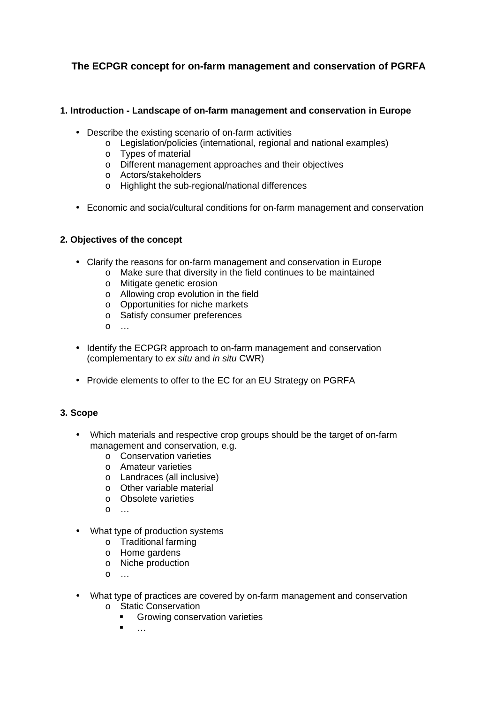# **The ECPGR concept for on-farm management and conservation of PGRFA**

#### **1. Introduction - Landscape of on-farm management and conservation in Europe**

- Describe the existing scenario of on-farm activities
	- o Legislation/policies (international, regional and national examples)
	- o Types of material
	- o Different management approaches and their objectives
	- o Actors/stakeholders
	- o Highlight the sub-regional/national differences
- Economic and social/cultural conditions for on-farm management and conservation

#### **2. Objectives of the concept**

- Clarify the reasons for on-farm management and conservation in Europe
	- o Make sure that diversity in the field continues to be maintained
		- o Mitigate genetic erosion
		- o Allowing crop evolution in the field
		- o Opportunities for niche markets
		- o Satisfy consumer preferences
		- o …
- Identify the ECPGR approach to on-farm management and conservation (complementary to ex situ and in situ CWR)
- Provide elements to offer to the EC for an EU Strategy on PGRFA

## **3. Scope**

- Which materials and respective crop groups should be the target of on-farm management and conservation, e.g.
	- o Conservation varieties
	- o Amateur varieties
	- o Landraces (all inclusive)
	- o Other variable material
	- o Obsolete varieties
	- $\Omega$  …
- What type of production systems
	- o Traditional farming
	- o Home gardens
	- o Niche production
	- $\Omega$  …
- What type of practices are covered by on-farm management and conservation
	- o Static Conservation
		- **Growing conservation varieties**
		- …